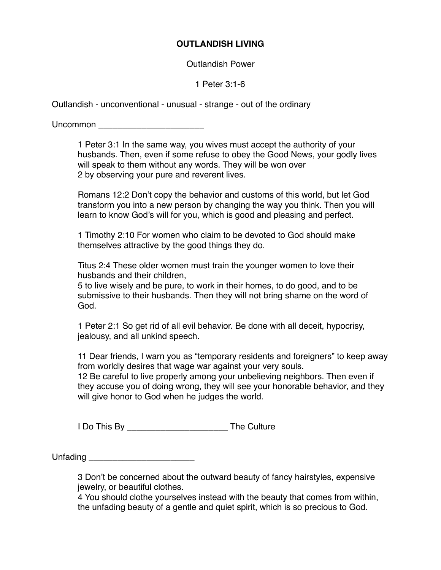## **OUTLANDISH LIVING**

Outlandish Power

1 Peter 3:1-6

Outlandish - unconventional - unusual - strange - out of the ordinary

Uncommon **Executive Service Service Service Service Service Service Service Service Service Service Service Service Service Service Service Service Service Service Service Service Service Service Service Service Service Se** 

1 Peter 3:1 In the same way, you wives must accept the authority of your husbands. Then, even if some refuse to obey the Good News, your godly lives will speak to them without any words. They will be won over 2 by observing your pure and reverent lives.

Romans 12:2 Don't copy the behavior and customs of this world, but let God transform you into a new person by changing the way you think. Then you will learn to know God's will for you, which is good and pleasing and perfect.

1 Timothy 2:10 For women who claim to be devoted to God should make themselves attractive by the good things they do.

Titus 2:4 These older women must train the younger women to love their husbands and their children,

5 to live wisely and be pure, to work in their homes, to do good, and to be submissive to their husbands. Then they will not bring shame on the word of God.

1 Peter 2:1 So get rid of all evil behavior. Be done with all deceit, hypocrisy, jealousy, and all unkind speech.

11 Dear friends, I warn you as "temporary residents and foreigners" to keep away from worldly desires that wage war against your very souls. 12 Be careful to live properly among your unbelieving neighbors. Then even if they accuse you of doing wrong, they will see your honorable behavior, and they will give honor to God when he judges the world.

I Do This By \_\_\_\_\_\_\_\_\_\_\_\_\_\_\_\_\_\_\_\_\_ The Culture

Unfading **Executive Service Service Service Service Service Service Service Service Service Service Service Service Service Service Service Service Service Service Service Service Service Service Service Service Service Se** 

3 Don't be concerned about the outward beauty of fancy hairstyles, expensive jewelry, or beautiful clothes.

4 You should clothe yourselves instead with the beauty that comes from within, the unfading beauty of a gentle and quiet spirit, which is so precious to God.